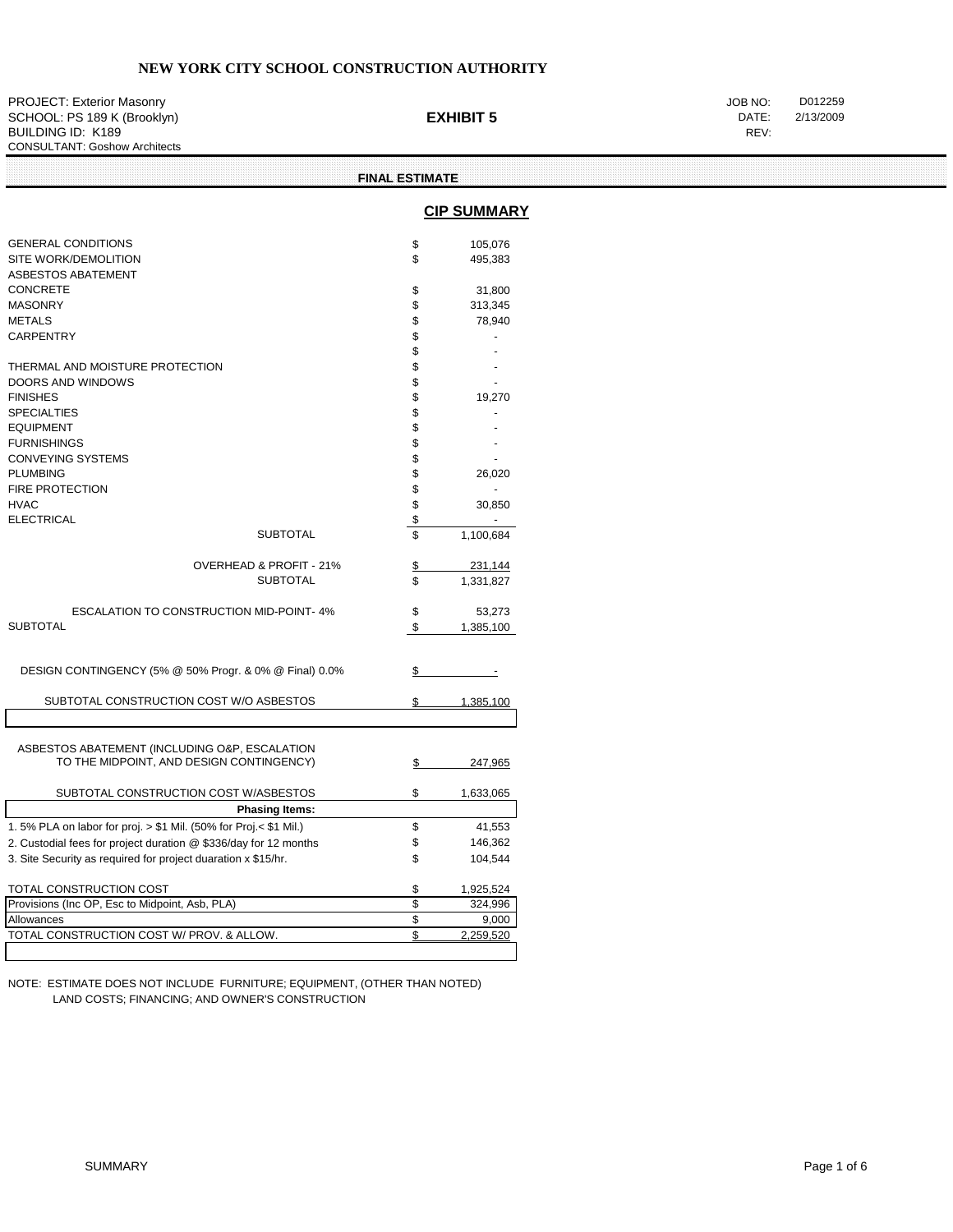PROJECT: Exterior Masonry **District Control Control Control Control Control Control Control Control Control Control Control Control Control Control Control Control Control Control Control Control Control Control Control Co** SCHOOL: PS 189 K (Brooklyn) **EXHIBIT 5** DATE:<br>
BUILDING ID: K189 REV: BUILDING ID: K189 CONSULTANT: Goshow Architects

|                                                                                           | <b>FINAL ESTIMATE</b> |                    |  |  |
|-------------------------------------------------------------------------------------------|-----------------------|--------------------|--|--|
|                                                                                           |                       | <b>CIP SUMMARY</b> |  |  |
| <b>GENERAL CONDITIONS</b>                                                                 | \$                    | 105,076            |  |  |
| SITE WORK/DEMOLITION<br><b>ASBESTOS ABATEMENT</b>                                         | \$                    | 495,383            |  |  |
| <b>CONCRETE</b>                                                                           | \$                    | 31,800             |  |  |
| <b>MASONRY</b>                                                                            | \$                    | 313,345            |  |  |
| <b>METALS</b>                                                                             | \$                    | 78,940             |  |  |
| <b>CARPENTRY</b>                                                                          | \$                    |                    |  |  |
|                                                                                           | \$                    |                    |  |  |
| THERMAL AND MOISTURE PROTECTION                                                           | \$                    |                    |  |  |
| DOORS AND WINDOWS                                                                         | \$                    |                    |  |  |
| <b>FINISHES</b>                                                                           | \$                    | 19,270             |  |  |
| <b>SPECIALTIES</b>                                                                        | \$                    |                    |  |  |
| <b>EQUIPMENT</b>                                                                          | \$                    |                    |  |  |
| <b>FURNISHINGS</b>                                                                        | \$                    |                    |  |  |
| <b>CONVEYING SYSTEMS</b>                                                                  | \$                    |                    |  |  |
| <b>PLUMBING</b>                                                                           | \$                    | 26,020             |  |  |
| <b>FIRE PROTECTION</b>                                                                    | \$                    | ٠                  |  |  |
| <b>HVAC</b>                                                                               | \$                    | 30,850             |  |  |
| <b>ELECTRICAL</b>                                                                         | \$                    |                    |  |  |
| <b>SUBTOTAL</b>                                                                           | \$                    | 1,100,684          |  |  |
| OVERHEAD & PROFIT - 21%                                                                   | \$                    | 231,144            |  |  |
| <b>SUBTOTAL</b>                                                                           | \$                    | 1,331,827          |  |  |
| <b>ESCALATION TO CONSTRUCTION MID-POINT-4%</b>                                            | \$                    | 53,273             |  |  |
| <b>SUBTOTAL</b>                                                                           | \$                    | 1,385,100          |  |  |
| DESIGN CONTINGENCY (5% @ 50% Progr. & 0% @ Final) 0.0%                                    | \$                    |                    |  |  |
| SUBTOTAL CONSTRUCTION COST W/O ASBESTOS                                                   | S                     | 1,385,100          |  |  |
| ASBESTOS ABATEMENT (INCLUDING O&P, ESCALATION<br>TO THE MIDPOINT, AND DESIGN CONTINGENCY) | \$                    | 247,965            |  |  |
| SUBTOTAL CONSTRUCTION COST W/ASBESTOS                                                     | \$                    | 1,633,065          |  |  |
| <b>Phasing Items:</b>                                                                     |                       |                    |  |  |
| 1.5% PLA on labor for proj. > \$1 Mil. (50% for Proj.< \$1 Mil.)                          | \$                    | 41,553             |  |  |
| 2. Custodial fees for project duration @ \$336/day for 12 months                          | \$                    | 146,362            |  |  |
| 3. Site Security as required for project duaration x \$15/hr.                             | \$                    | 104,544            |  |  |
| TOTAL CONSTRUCTION COST                                                                   | \$                    | 1,925,524          |  |  |
| Provisions (Inc OP, Esc to Midpoint, Asb, PLA)                                            | \$                    | 324,996            |  |  |
| Allowances                                                                                | \$                    | 9,000              |  |  |
| TOTAL CONSTRUCTION COST W/ PROV. & ALLOW.                                                 | \$                    | 2,259,520          |  |  |
|                                                                                           |                       |                    |  |  |

NOTE: ESTIMATE DOES NOT INCLUDE FURNITURE; EQUIPMENT, (OTHER THAN NOTED) LAND COSTS; FINANCING; AND OWNER'S CONSTRUCTION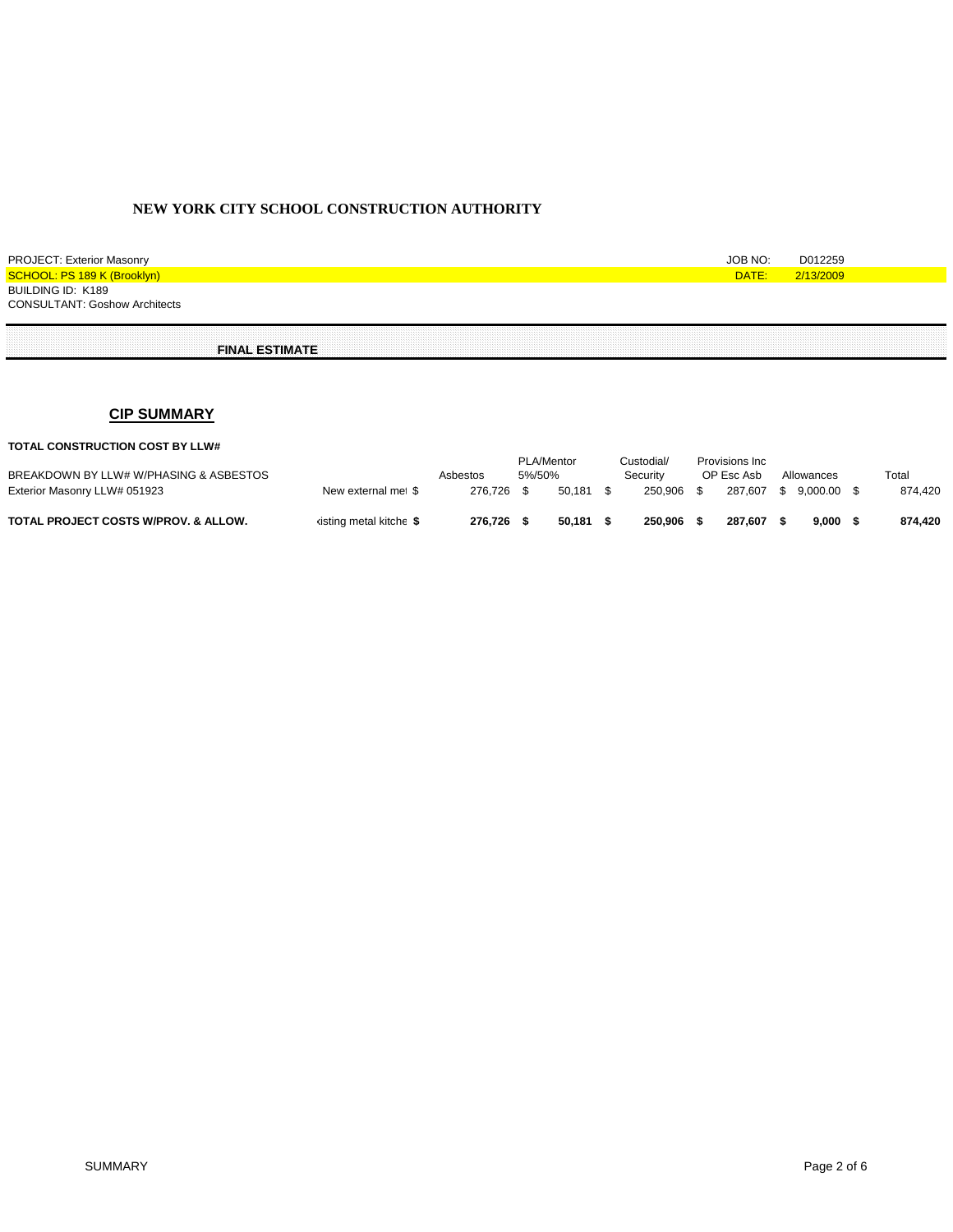| <b>PROJECT: Exterior Masonry</b>     | JOB NO: | D012259   |
|--------------------------------------|---------|-----------|
| SCHOOL: PS 189 K (Brooklyn)          | DATE:   | 2/13/2009 |
| BUILDING ID: K189                    |         |           |
| <b>CONSULTANT: Goshow Architects</b> |         |           |
|                                      |         |           |

 **FINAL ESTIMATE**

# **CIP SUMMARY**

#### **TOTAL CONSTRUCTION COST BY LLW#**

| BREAKDOWN BY LLW# W/PHASING & ASBESTOS          | Asbestos                |            | 5%/50% | PLA/Mentor | Custodial<br>Security |         | Provisions Inc.<br>OP Esc Asb |         | Allowances |          | Total |         |
|-------------------------------------------------|-------------------------|------------|--------|------------|-----------------------|---------|-------------------------------|---------|------------|----------|-------|---------|
| Exterior Masonry LLW# 051923                    | New external me \$      | 276.726 \$ |        | 50.181     |                       | 250.906 |                               | 287.607 |            | 9.000.00 |       | 874.420 |
| <b>TOTAL PROJECT COSTS W/PROV. &amp; ALLOW.</b> | kisting metal kitche \$ | 276.726    |        | 50.181     |                       | 250,906 |                               | 287.607 |            | 9.000    |       | 874.420 |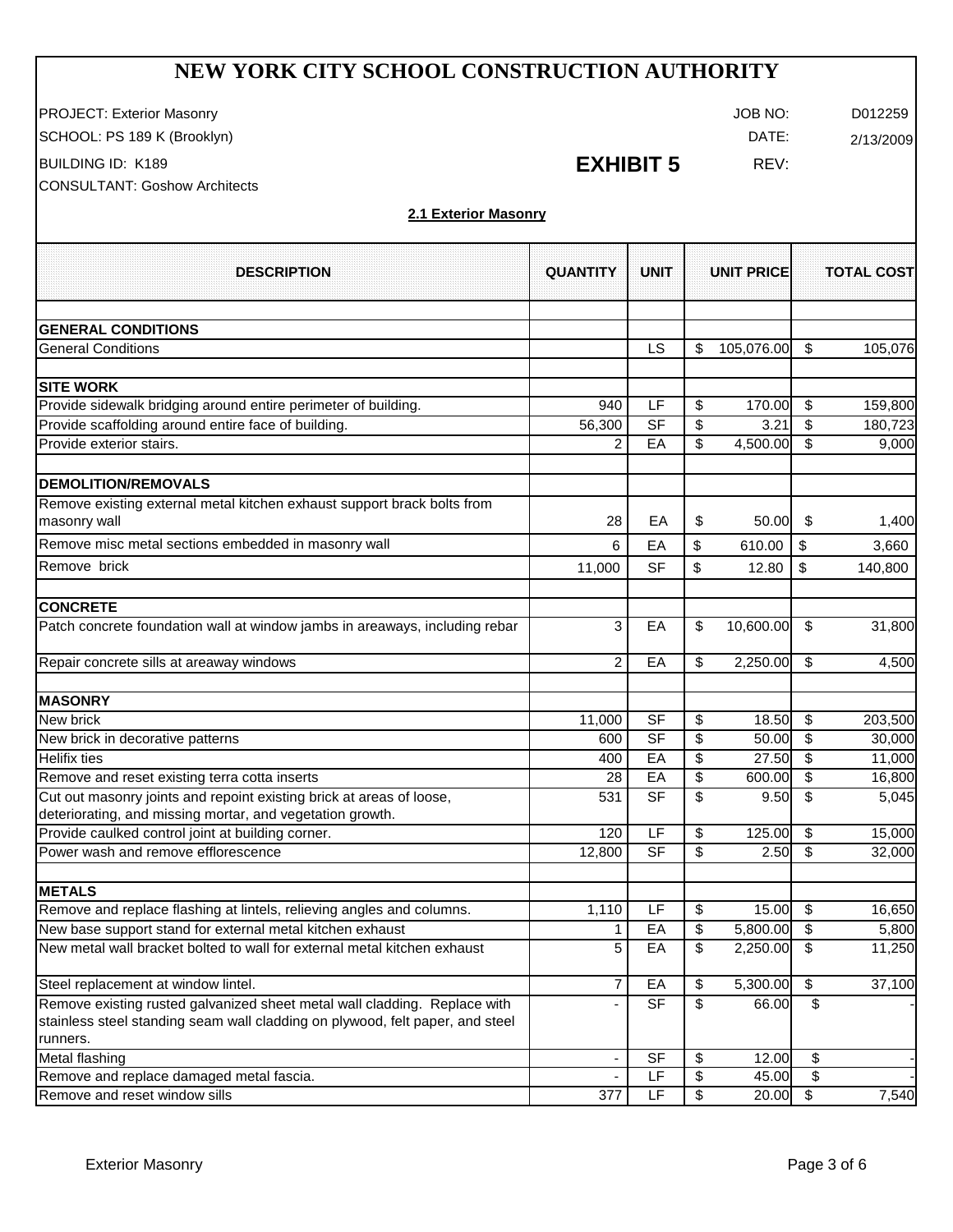PROJECT: Exterior Masonry **CONTEX EXTERNAL SERVICE CONTEXNS** OF PROJECT: Exterior Masonry

SCHOOL: PS 189 K (Brooklyn) and the settlement of the settlement of the settlement of the settlement of the set

BUILDING ID: K189 REV:

CONSULTANT: Goshow Architects

# **EXHIBIT 5**

## **2.1 Exterior Masonry**

| <b>DESCRIPTION</b>                                                                                                                | <b>QUANTITY</b>          | <b>UNIT</b>    | <b>UNIT PRICE</b>        |            |      | <b>TOTAL COST</b> |
|-----------------------------------------------------------------------------------------------------------------------------------|--------------------------|----------------|--------------------------|------------|------|-------------------|
| <b>GENERAL CONDITIONS</b>                                                                                                         |                          |                |                          |            |      |                   |
| <b>General Conditions</b>                                                                                                         |                          | LS             | S                        | 105,076.00 | \$   | 105,076           |
| <b>SITE WORK</b>                                                                                                                  |                          |                |                          |            |      |                   |
| Provide sidewalk bridging around entire perimeter of building.                                                                    | 940                      | LF             | \$                       | 170.00     | \$   | 159,800           |
| Provide scaffolding around entire face of building.                                                                               | 56,300                   | <b>SF</b>      | \$                       | 3.21       | \$   | 180,723           |
| Provide exterior stairs.                                                                                                          | 2                        | EA             | \$                       | 4,500.00   | \$   | 9,000             |
| <b>DEMOLITION/REMOVALS</b>                                                                                                        |                          |                |                          |            |      |                   |
| Remove existing external metal kitchen exhaust support brack bolts from<br>masonry wall                                           | 28                       | EА             | \$                       | 50.00      | \$   | 1,400             |
| Remove misc metal sections embedded in masonry wall                                                                               | 6                        | EA             | \$                       | 610.00     | \$   | 3,660             |
| Remove brick                                                                                                                      | 11,000                   | <b>SF</b>      | \$                       | 12.80      | \$   | 140,800           |
| <b>CONCRETE</b>                                                                                                                   |                          |                |                          |            |      |                   |
| Patch concrete foundation wall at window jambs in areaways, including rebar                                                       | 3                        | EA             | \$                       | 10,600.00  | \$   | 31,800            |
| Repair concrete sills at areaway windows                                                                                          | 2                        | EA             | \$                       | 2,250.00   | \$   | 4,500             |
| <b>MASONRY</b>                                                                                                                    |                          |                |                          |            |      |                   |
| New brick                                                                                                                         | 11,000                   | <b>SF</b>      | \$                       | 18.50      | \$   | 203,500           |
| New brick in decorative patterns                                                                                                  | 600                      | $S$ F          | \$                       | 50.00      | \$   | 30,000            |
| <b>Helifix ties</b>                                                                                                               | 400                      | EA             | \$                       | 27.50      | \$   | 11,000            |
| Remove and reset existing terra cotta inserts                                                                                     | 28                       | EA             | $\overline{\mathcal{E}}$ | 600.00     | \$   | 16,800            |
| Cut out masonry joints and repoint existing brick at areas of loose,<br>deteriorating, and missing mortar, and vegetation growth. | 531                      | S <sub>F</sub> | \$                       | 9.50       | \$   | 5,045             |
| Provide caulked control joint at building corner.                                                                                 | 120                      | LF             | \$                       | 125.00     | \$   | 15,000            |
| Power wash and remove efflorescence                                                                                               | 12,800                   | S <sub>F</sub> | \$                       | 2.50       | \$   | 32,000            |
| <b>METALS</b>                                                                                                                     |                          |                |                          |            |      |                   |
| Remove and replace flashing at lintels, relieving angles and columns.                                                             | 1,110                    | LF             | \$                       | 15.00      | \$   | 16,650            |
| New base support stand for external metal kitchen exhaust                                                                         | 1                        | EA             | \$                       | 5,800.00   | \$   | 5,800             |
| New metal wall bracket bolted to wall for external metal kitchen exhaust                                                          | 5                        | EA             | \$                       | 2,250.00   | \$   | 11,250            |
| Steel replacement at window lintel.                                                                                               | 7                        | EA             | \$                       | 5,300.00   | \$   | 37,100            |
| Remove existing rusted galvanized sheet metal wall cladding. Replace with                                                         |                          | <b>SF</b>      | \$                       | 66.00      | \$   |                   |
| stainless steel standing seam wall cladding on plywood, felt paper, and steel<br>runners.                                         |                          |                |                          |            |      |                   |
| Metal flashing                                                                                                                    | $\overline{\phantom{a}}$ | <b>SF</b>      | \$                       | 12.00      | \$   |                   |
| Remove and replace damaged metal fascia.                                                                                          |                          | LF             | \$                       | 45.00      | \$   |                   |
| Remove and reset window sills                                                                                                     | 377                      | LF             | \$                       | 20.00      | $\,$ | 7,540             |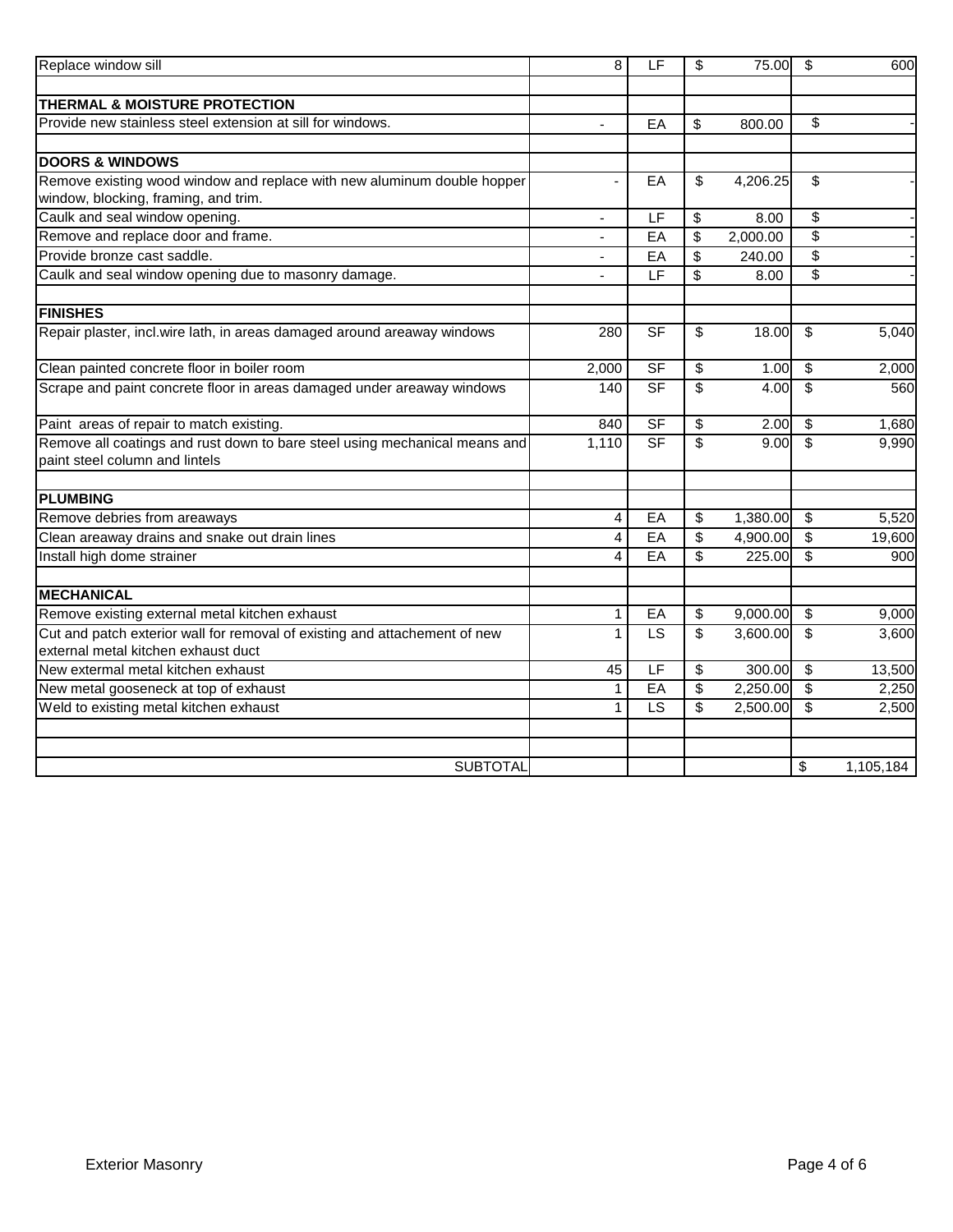| Replace window sill                                                                                               | 8            | E                        | \$                            | 75.00    | \$                               | 600       |
|-------------------------------------------------------------------------------------------------------------------|--------------|--------------------------|-------------------------------|----------|----------------------------------|-----------|
|                                                                                                                   |              |                          |                               |          |                                  |           |
| THERMAL & MOISTURE PROTECTION                                                                                     |              |                          |                               |          |                                  |           |
| Provide new stainless steel extension at sill for windows.                                                        | $\mathbf{r}$ | EA                       | \$                            | 800.00   | \$                               |           |
|                                                                                                                   |              |                          |                               |          |                                  |           |
| <b>DOORS &amp; WINDOWS</b>                                                                                        |              |                          |                               |          |                                  |           |
| Remove existing wood window and replace with new aluminum double hopper<br>window, blocking, framing, and trim.   |              | EA                       | \$                            | 4,206.25 | \$                               |           |
| Caulk and seal window opening.                                                                                    |              | E                        | \$                            | 8.00     | \$                               |           |
| Remove and replace door and frame.                                                                                |              | EA                       | \$                            | 2,000.00 | \$                               |           |
| Provide bronze cast saddle.                                                                                       |              | EA                       | \$                            | 240.00   | $\overline{\$}$                  |           |
| Caulk and seal window opening due to masonry damage.                                                              |              | LF                       | \$                            | 8.00     | $\overline{\mathbf{3}}$          |           |
| <b>FINISHES</b>                                                                                                   |              |                          |                               |          |                                  |           |
|                                                                                                                   | 280          | $S$ F                    | \$                            | 18.00    | \$                               | 5,040     |
| Repair plaster, incl.wire lath, in areas damaged around areaway windows                                           |              |                          |                               |          |                                  |           |
| Clean painted concrete floor in boiler room                                                                       | 2,000        | <b>SF</b>                | \$                            | 1.00     | \$                               | 2,000     |
| Scrape and paint concrete floor in areas damaged under areaway windows                                            | 140          | $\overline{\mathsf{SF}}$ | \$                            | 4.00     | \$                               | 560       |
| Paint areas of repair to match existing.                                                                          | 840          | $S$ F                    | \$                            | 2.00     | \$                               | 1,680     |
| Remove all coatings and rust down to bare steel using mechanical means and                                        | 1,110        | SF                       | $\overline{\mathbf{e}}$       | 9.00     | $\overline{\mathcal{S}}$         | 9,990     |
| paint steel column and lintels                                                                                    |              |                          |                               |          |                                  |           |
| <b>PLUMBING</b>                                                                                                   |              |                          |                               |          |                                  |           |
| Remove debries from areaways                                                                                      | 4            | EA                       | \$                            | 1,380.00 | \$                               | 5,520     |
| Clean areaway drains and snake out drain lines                                                                    | 4            | EA                       | $\overline{\mathbf{e}}$       | 4,900.00 | $\overline{\boldsymbol{\theta}}$ | 19,600    |
| Install high dome strainer                                                                                        | 4            | EA                       | \$                            | 225.00   | $\overline{\mathbf{s}}$          | 900       |
|                                                                                                                   |              |                          |                               |          |                                  |           |
| <b>MECHANICAL</b>                                                                                                 |              |                          |                               |          | \$                               |           |
| Remove existing external metal kitchen exhaust                                                                    | 1            | EA                       | \$<br>$\overline{\mathbf{s}}$ | 9,000.00 | $\overline{\mathcal{S}}$         | 9,000     |
| Cut and patch exterior wall for removal of existing and attachement of new<br>external metal kitchen exhaust duct | $\mathbf{1}$ | LS                       |                               | 3,600.00 |                                  | 3,600     |
| New extermal metal kitchen exhaust                                                                                | 45           | LF                       | \$                            | 300.00   | \$                               | 13,500    |
| New metal gooseneck at top of exhaust                                                                             | 1            | EA                       | $\overline{\mathbf{e}}$       | 2,250.00 | $\overline{\boldsymbol{\theta}}$ | 2,250     |
| Weld to existing metal kitchen exhaust                                                                            | 1            | <b>LS</b>                | \$                            | 2,500.00 | \$                               | 2,500     |
|                                                                                                                   |              |                          |                               |          |                                  |           |
| <b>SUBTOTAL</b>                                                                                                   |              |                          |                               |          | \$                               |           |
|                                                                                                                   |              |                          |                               |          |                                  | 1,105,184 |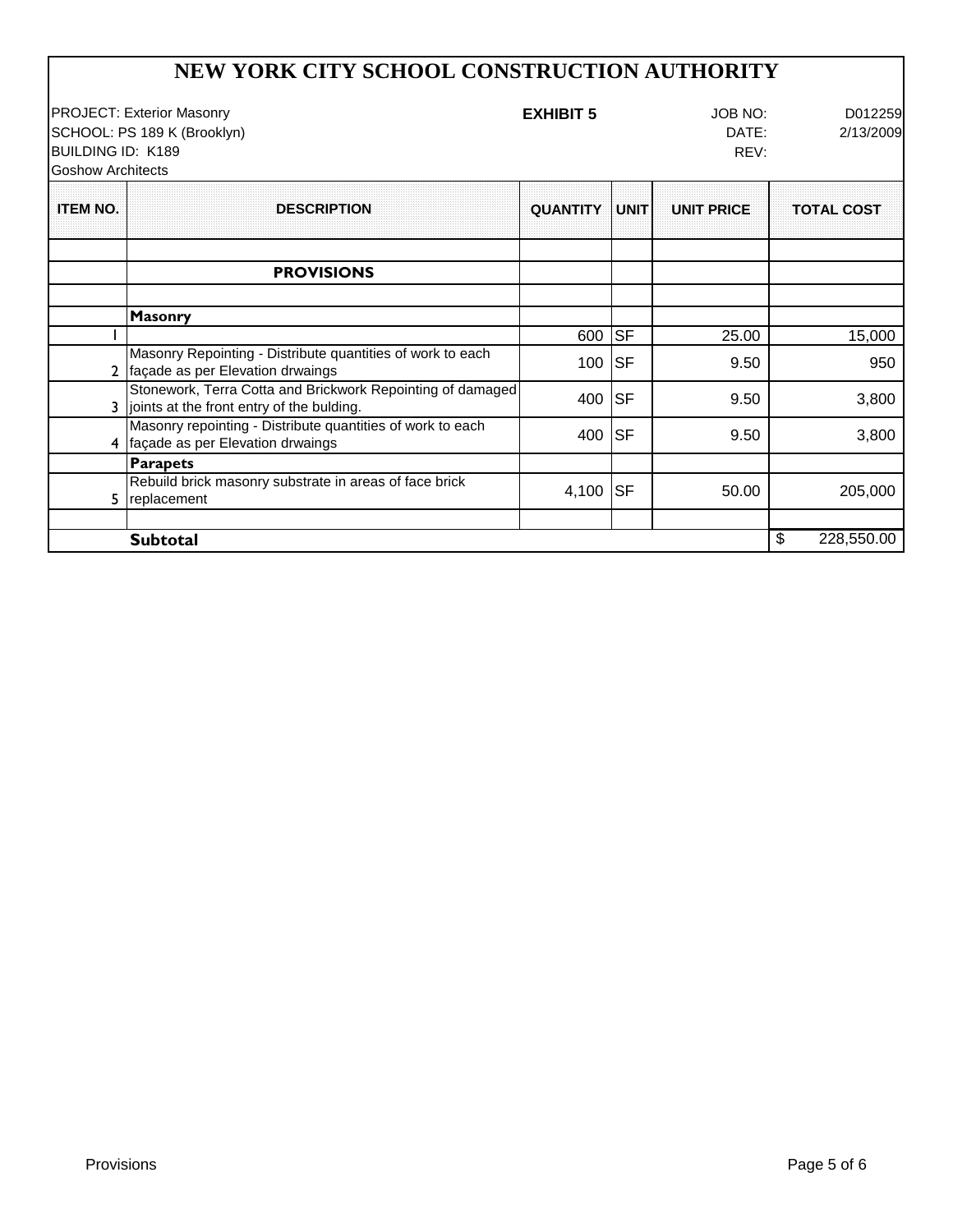## **EXHIBIT 5** JOB NO: D012259 DATE: 2/13/2009 REV: **QUANTITY UNIT UNIT PRICE TOTAL COST PROVISIONS Masonry** 1 600 SF 25.00 15,000 2 façade as per Elevation drwaings Statistics of work to call the MOO SF 9.50 950 Masonry Repointing - Distribute quantities of work to each 3,800 3,800 joints at the front entry of the bulding. Stonework, Terra Cotta and Brickwork Repointing of damaged 4 façade as per Elevation drwaings SF 9.50 400 3,800 Masonry repointing - Distribute quantities of work to each **Parapets** 5 replacement Rebuild brick masonry substrate in areas of face brick replacement  $\frac{1}{205,000}$   $\frac{1}{205,000}$   $\frac{1}{205,000}$   $\frac{1}{205,000}$   $\frac{205,000}{205,000}$ **Subtotal** \$ 228,550.00 **NEW YORK CITY SCHOOL CONSTRUCTION AUTHORITY** PROJECT: Exterior Masonry SCHOOL: PS 189 K (Brooklyn) BUILDING ID: K189 Goshow Architects **ITEM NO.** | DESCRIPTION